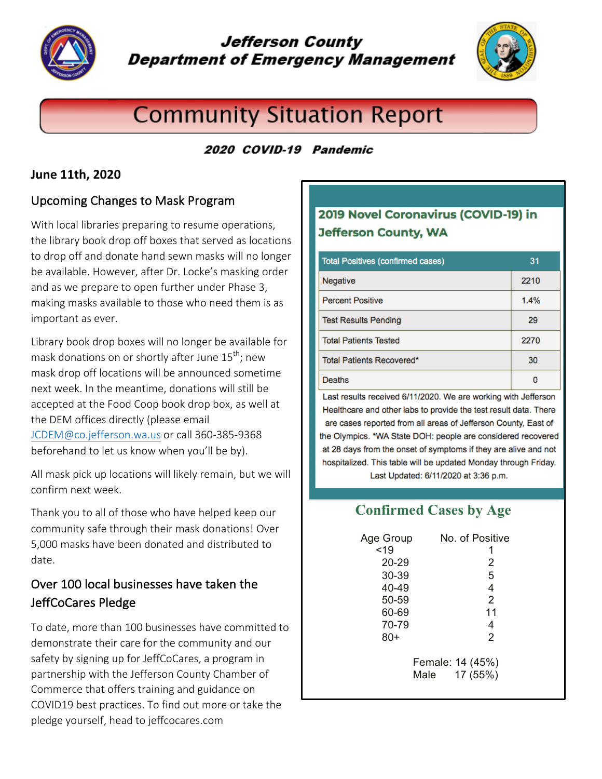

# **Jefferson County Department of Emergency Management**



# **Community Situation Report**

#### 2020 COVID-19 Pandemic

#### **June 11th, 2020**

#### Upcoming Changes to Mask Program

With local libraries preparing to resume operations, the library book drop off boxes that served as locations to drop off and donate hand sewn masks will no longer be available. However, after Dr. Locke's masking order and as we prepare to open further under Phase 3, making masks available to those who need them is as important as ever.

Library book drop boxes will no longer be available for mask donations on or shortly after June  $15^{th}$ ; new mask drop off locations will be announced sometime next week. In the meantime, donations will still be accepted at the Food Coop book drop box, as well at the DEM offices directly (please email JCDEM@co.jefferson.wa.us or call 360-385-9368 beforehand to let us know when you'll be by).

All mask pick up locations will likely remain, but we will confirm next week. 

Thank you to all of those who have helped keep our community safe through their mask donations! Over 5,000 masks have been donated and distributed to date. 

## Over 100 local businesses have taken the JeffCoCares Pledge

To date, more than 100 businesses have committed to demonstrate their care for the community and our safety by signing up for JeffCoCares, a program in partnership with the Jefferson County Chamber of Commerce that offers training and guidance on COVID19 best practices. To find out more or take the pledge yourself, head to jeffcocares.com

# 2019 Novel Coronavirus (COVID-19) in **Jefferson County, WA**

| <b>Total Positives (confirmed cases)</b> | 31   |
|------------------------------------------|------|
| Negative                                 | 2210 |
| <b>Percent Positive</b>                  | 1.4% |
| <b>Test Results Pending</b>              | 29   |
| <b>Total Patients Tested</b>             | 2270 |
| Total Patients Recovered*                | 30   |
| Deaths                                   |      |

Last results received 6/11/2020. We are working with Jefferson Healthcare and other labs to provide the test result data. There are cases reported from all areas of Jefferson County, East of the Olympics. \*WA State DOH: people are considered recovered at 28 days from the onset of symptoms if they are alive and not hospitalized. This table will be updated Monday through Friday.

Last Updated: 6/11/2020 at 3:36 p.m.

# **Confirmed Cases by Age**

| Age Group | No. of Positive                      |
|-----------|--------------------------------------|
| < 19      |                                      |
| $20 - 29$ | 2                                    |
| 30-39     | 5                                    |
| 40-49     | 4                                    |
| 50-59     | 2                                    |
| 60-69     | 11                                   |
| 70-79     | 4                                    |
| $80+$     | 2                                    |
|           | Female: 14 (45%)<br>17 (55%)<br>Male |